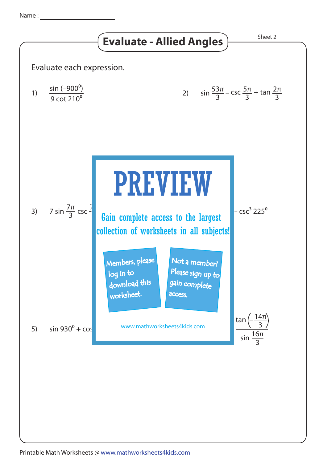